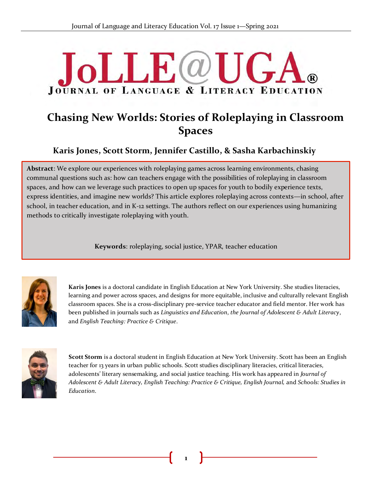# **JoLLE**@U **JOURNAL OF LANGUAGE & LITERACY EDUCATION**

## **Chasing New Worlds: Stories of Roleplaying in Classroom Spaces**

## **Karis Jones, Scott Storm, Jennifer Castillo, & Sasha Karbachinskiy**

**Abstract**: We explore our experiences with roleplaying games across learning environments, chasing communal questions such as: how can teachers engage with the possibilities of roleplaying in classroom spaces, and how can we leverage such practices to open up spaces for youth to bodily experience texts, express identities, and imagine new worlds? This article explores roleplaying across contexts—in school, after school, in teacher education, and in K-12 settings. The authors reflect on our experiences using humanizing methods to critically investigate roleplaying with youth.

**Keywords**: roleplaying, social justice, YPAR, teacher education



**Karis Jones** is a doctoral candidate in English Education at New York University. She studies literacies, learning and power across spaces, and designs for more equitable, inclusive and culturally relevant English classroom spaces. She is a cross-disciplinary pre-service teacher educator and field mentor. Her work has been published in journals such as *Linguistics and Education*, *the Journal of Adolescent & Adult Literacy*, and *English Teaching: Practice & Critique*.



**Scott Storm** is a doctoral student in English Education at New York University. Scott has been an English teacher for 13 years in urban public schools. Scott studies disciplinary literacies, critical literacies, adolescents' literary sensemaking, and social justice teaching. His work has appeared in *Journal of Adolescent & Adult Literacy, English Teaching: Practice & Critique, English Journal,* and *Schools: Studies in Education*.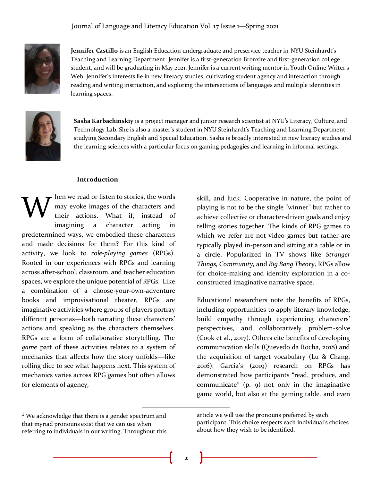

**Jennifer Castillo** is an English Education undergraduate and preservice teacher in NYU Steinhardt's Teaching and Learning Department. Jennifer is a first-generation Bronxite and first-generation college student, and will be graduating in May 2021. Jennifer is a current writing mentor in Youth Online Writer's Web. Jennifer's interests lie in new literacy studies, cultivating student agency and interaction through reading and writing instruction, and exploring the intersections of languages and multiple identities in learning spaces.



**Sasha Karbachinskiy** is a project manager and junior research scientist at NYU's Literacy, Culture, and Technology Lab. She is also a master's student in NYU Steinhardt's Teaching and Learning Department studying Secondary English and Special Education. Sasha is broadly interested in new literacy studies and the learning sciences with a particular focus on gaming pedagogies and learning in informal settings.

#### **Introduction**<sup>1</sup>

hen we read or listen to stories, the words may evoke images of the characters and their actions. What if, instead of imagining a character acting in predetermined ways, we embodied these characters and made decisions for them? For this kind of activity, we look to *role-playing games* (RPGs). Rooted in our experiences with RPGs and learning across after-school, classroom, and teacher education spaces, we explore the unique potential of RPGs. Like a combination of a choose-your-own-adventure books and improvisational theater, RPGs are imaginative activities where groups of players portray different personas—both narrating these characters' actions and speaking as the characters themselves. RPGs are a form of collaborative storytelling. The *game* part of these activities relates to a system of mechanics that affects how the story unfolds—like rolling dice to see what happens next. This system of mechanics varies across RPG games but often allows for elements of agency, W

skill, and luck. Cooperative in nature, the point of playing is not to be the single "winner" but rather to achieve collective or character-driven goals and enjoy telling stories together. The kinds of RPG games to which we refer are not video games but rather are typically played in-person and sitting at a table or in a circle. Popularized in TV shows like *Stranger Things, Community,* and *Big Bang Theory,* RPGs allow for choice-making and identity exploration in a coconstructed imaginative narrative space.

Educational researchers note the benefits of RPGs, including opportunities to apply literary knowledge, build empathy through experiencing characters' perspectives, and collaboratively problem-solve (Cook et al., 2017). Others cite benefits of developing communication skills (Quevedo da Rocha, 2018) and the acquisition of target vocabulary (Lu & Chang, 2016). Garcia's (2019) research on RPGs has demonstrated how participants "read, produce, and communicate" (p. 9) not only in the imaginative game world, but also at the gaming table, and even

 $1$  We acknowledge that there is a gender spectrum and that myriad pronouns exist that we can use when referring to individuals in our writing. Throughout this

article we will use the pronouns preferred by each participant. This choice respects each individual's choices about how they wish to be identified.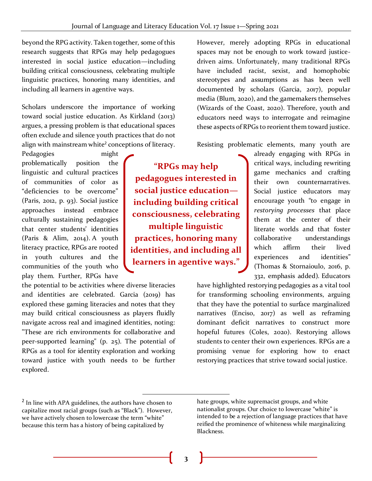beyond the RPG activity. Taken together, some of this research suggests that RPGs may help pedagogues interested in social justice education—including building critical consciousness, celebrating multiple linguistic practices, honoring many identities, and including all learners in agentive ways.

Scholars underscore the importance of working toward social justice education. As Kirkland (2013) argues, a pressing problem is that educational spaces often exclude and silence youth practices that do not align with mainstream white<sup>2</sup> conceptions of literacy.

Pedagogies might problematically position the linguistic and cultural practices of communities of color as "deficiencies to be overcome" (Paris, 2012, p. 93). Social justice approaches instead embrace culturally sustaining pedagogies that center students' identities (Paris & Alim, 2014). A youth literacy practice, RPGs are rooted in youth cultures and the communities of the youth who play them. Further, RPGs have

the potential to be activities where diverse literacies and identities are celebrated. Garcia (2019) has explored these gaming literacies and notes that they may build critical consciousness as players fluidly navigate across real and imagined identities, noting: "These are rich environments for collaborative and peer-supported learning" (p. 25). The potential of RPGs as a tool for identity exploration and working toward justice with youth needs to be further explored.

**"RPGs may help pedagogues interested in social justice education including building critical consciousness, celebrating multiple linguistic practices, honoring many identities, and including all learners in agentive ways."** 

However, merely adopting RPGs in educational spaces may not be enough to work toward justicedriven aims. Unfortunately, many traditional RPGs have included racist, sexist, and homophobic stereotypes and assumptions as has been well documented by scholars (Garcia, 2017), popular media (Blum, 2020), and th[e](https://dnd.wizards.com/articles/features/diversity-and-dnd) gamemakers themselves (Wizards of the Coast, 2020). Therefore, youth and educators need ways to interrogate and reimagine these aspects of RPGs to reorient them toward justice.

Resisting problematic elements, many youth are

already engaging with RPGs in critical ways, including rewriting game mechanics and crafting their own counternarratives. Social justice educators may encourage youth "to engage in *restorying processes* that place them at the center of their literate worlds and that foster collaborative understandings which affirm their lived experiences and identities" (Thomas & Stornaioulo, 2016, p. 332, emphasis added). Educators

have highlighted restorying pedagogies as a vital tool for transforming schooling environments, arguing that they have the potential to surface marginalized narratives (Enciso, 2017) as well as reframing dominant deficit narratives to construct more hopeful futures (Coles, 2020). Restorying allows students to center their own experiences. RPGs are a promising venue for exploring how to enact restorying practices that strive toward social justice.

**3**

<sup>&</sup>lt;sup>2</sup> In line with APA guidelines, the authors have chosen to capitalize most racial groups (such as "Black"). However, we have actively chosen to lowercase the term "white" because this term has a history of being capitalized by

hate groups, white supremacist groups, and white nationalist groups. Our choice to lowercase "white" is intended to be a rejection of language practices that have reified the prominence of whiteness while marginalizing Blackness.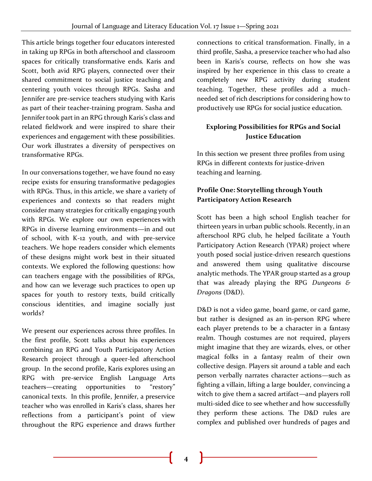This article brings together four educators interested in taking up RPGs in both afterschool and classroom spaces for critically transformative ends. Karis and Scott, both avid RPG players, connected over their shared commitment to social justice teaching and centering youth voices through RPGs. Sasha and Jennifer are pre-service teachers studying with Karis as part of their teacher-training program. Sasha and Jennifer took part in an RPG through Karis's class and related fieldwork and were inspired to share their experiences and engagement with these possibilities. Our work illustrates a diversity of perspectives on transformative RPGs.

In our conversations together, we have found no easy recipe exists for ensuring transformative pedagogies with RPGs. Thus, in this article, we share a variety of experiences and contexts so that readers might consider many strategies for critically engaging youth with RPGs. We explore our own experiences with RPGs in diverse learning environments—in and out of school, with K-12 youth, and with pre-service teachers. We hope readers consider which elements of these designs might work best in their situated contexts. We explored the following questions: how can teachers engage with the possibilities of RPGs, and how can we leverage such practices to open up spaces for youth to restory texts, build critically conscious identities, and imagine socially just worlds?

We present our experiences across three profiles. In the first profile, Scott talks about his experiences combining an RPG and Youth Participatory Action Research project through a queer-led afterschool group. In the second profile, Karis explores using an RPG with pre-service English Language Arts teachers—creating opportunities to "restory" canonical texts. In this profile, Jennifer, a preservice teacher who was enrolled in Karis's class, shares her reflections from a participant's point of view throughout the RPG experience and draws further

connections to critical transformation. Finally, in a third profile, Sasha, a preservice teacher who had also been in Karis's course, reflects on how she was inspired by her experience in this class to create a completely new RPG activity during student teaching. Together, these profiles add a muchneeded set of rich descriptions for considering how to productively use RPGs for social justice education.

## **Exploring Possibilities for RPGs and Social Justice Education**

In this section we present three profiles from using RPGs in different contexts for justice-driven teaching and learning.

## **Profile One: Storytelling through Youth Participatory Action Research**

Scott has been a high school English teacher for thirteen years in urban public schools. Recently, in an afterschool RPG club, he helped facilitate a Youth Participatory Action Research (YPAR) project where youth posed social justice-driven research questions and answered them using qualitative discourse analytic methods. The YPAR group started as a group that was already playing the RPG *Dungeons & Dragons* (D&D).

D&D is not a video game, board game, or card game, but rather is designed as an in-person RPG where each player pretends to be a character in a fantasy realm. Though costumes are not required, players might imagine that they are wizards, elves, or other magical folks in a fantasy realm of their own collective design. Players sit around a table and each person verbally narrates character actions—such as fighting a villain, lifting a large boulder, convincing a witch to give them a sacred artifact—and players roll multi-sided dice to see whether and how successfully they perform these actions. The D&D rules are complex and published over hundreds of pages and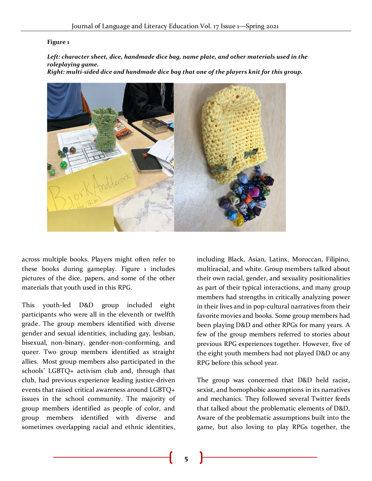#### **Figure 1**

*Left: character sheet, dice, handmade dice bag, name plate, and other materials used in the roleplaying game. Right: multi-sided dice and handmade dice bag that one of the players knit for this group.*

across multiple books. Players might often refer to these books during gameplay. Figure 1 includes pictures of the dice, papers, and some of the other materials that youth used in this RPG.

This youth-led D&D group included eight participants who were all in the eleventh or twelfth grade. The group members identified with diverse gender and sexual identities, including gay, lesbian, bisexual, non-binary, gender-non-conforming, and queer. Two group members identified as straight allies. Most group members also participated in the schools' LGBTQ+ activism club and, through that club, had previous experience leading justice-driven events that raised critical awareness around LGBTQ+ issues in the school community. The majority of group members identified as people of color, and group members identified with diverse and sometimes overlapping racial and ethnic identities,

including Black, Asian, Latinx, Moroccan, Filipino, multiracial, and white. Group members talked about their own racial, gender, and sexuality positionalities as part of their typical interactions, and many group members had strengths in critically analyzing power in their lives and in pop-cultural narratives from their favorite movies and books. Some group members had been playing D&D and other RPGs for many years. A few of the group members referred to stories about previous RPG experiences together. However, five of the eight youth members had not played D&D or any RPG before this school year.

The group was concerned that D&D held racist, sexist, and homophobic assumptions in its narratives and mechanics. They followed several Twitter feeds that talked about the problematic elements of D&D. Aware of the problematic assumptions built into the game, but also loving to play RPGs together, the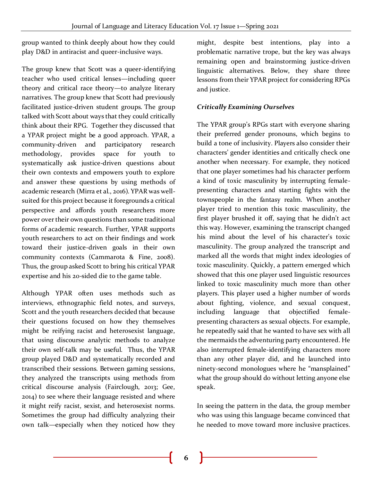group wanted to think deeply about how they could play D&D in antiracist and queer-inclusive ways.

The group knew that Scott was a queer-identifying teacher who used critical lenses—including queer theory and critical race theory—to analyze literary narratives. The group knew that Scott had previously facilitated justice-driven student groups. The group talked with Scott about ways that they could critically think about their RPG. Together they discussed that a YPAR project might be a good approach. YPAR, a community-driven and participatory research methodology, provides space for youth to systematically ask justice-driven questions about their own contexts and empowers youth to explore and answer these questions by using methods of academic research (Mirra et al., 2016). YPAR was wellsuited for this project because it foregrounds a critical perspective and affords youth researchers more power over their own questions than some traditional forms of academic research. Further, YPAR supports youth researchers to act on their findings and work toward their justice-driven goals in their own community contexts (Cammarota & Fine, 2008). Thus, the group asked Scott to bring his critical YPAR expertise and his 20-sided die to the game table.

Although YPAR often uses methods such as interviews, ethnographic field notes, and surveys, Scott and the youth researchers decided that because their questions focused on how they themselves might be reifying racist and heterosexist language, that using discourse analytic methods to analyze their own self-talk may be useful. Thus, the YPAR group played D&D and systematically recorded and transcribed their sessions. Between gaming sessions, they analyzed the transcripts using methods from critical discourse analysis (Fairclough, 2013; Gee, 2014) to see where their language resisted and where it might reify racist, sexist, and heterosexist norms. Sometimes the group had difficulty analyzing their own talk—especially when they noticed how they might, despite best intentions, play into a problematic narrative trope, but the key was always remaining open and brainstorming justice-driven linguistic alternatives. Below, they share three lessons from their YPAR project for considering RPGs and justice.

## *Critically Examining Ourselves*

The YPAR group's RPGs start with everyone sharing their preferred gender pronouns, which begins to build a tone of inclusivity. Players also consider their characters' gender identities and critically check one another when necessary. For example, they noticed that one player sometimes had his character perform a kind of toxic masculinity by interrupting femalepresenting characters and starting fights with the townspeople in the fantasy realm. When another player tried to mention this toxic masculinity, the first player brushed it off, saying that he didn't act this way. However, examining the transcript changed his mind about the level of his character's toxic masculinity. The group analyzed the transcript and marked all the words that might index ideologies of toxic masculinity. Quickly, a pattern emerged which showed that this one player used linguistic resources linked to toxic masculinity much more than other players. This player used a higher number of words about fighting, violence, and sexual conquest, including language that objectified femalepresenting characters as sexual objects. For example, he repeatedly said that he wanted to have sex with all the mermaids the adventuring party encountered. He also interrupted female-identifying characters more than any other player did, and he launched into ninety-second monologues where he "mansplained" what the group should do without letting anyone else speak.

In seeing the pattern in the data, the group member who was using this language became convinced that he needed to move toward more inclusive practices.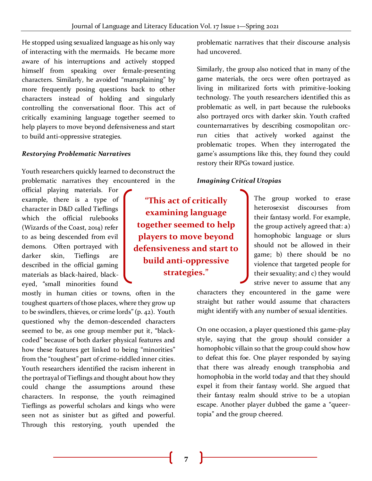He stopped using sexualized language as his only way of interacting with the mermaids. He became more aware of his interruptions and actively stopped himself from speaking over female-presenting characters. Similarly, he avoided "mansplaining" by more frequently posing questions back to other characters instead of holding and singularly controlling the conversational floor. This act of critically examining language together seemed to help players to move beyond defensiveness and start to build anti-oppressive strategies.

#### *Restorying Problematic Narratives*

Youth researchers quickly learned to deconstruct the problematic narratives they encountered in the

official playing materials. For example, there is a type of character in D&D called Tieflings which the official rulebooks (Wizards of the Coast, 2014) refer to as being descended from evil demons. Often portrayed with darker skin, Tieflings are described in the official gaming materials as black-haired, blackeyed, "small minorities found

mostly in human cities or towns, often in the toughest quarters of those places, where they grow up to be swindlers, thieves, or crime lords" (p. 42). Youth questioned why the demon-descended characters seemed to be, as one group member put it, "blackcoded" because of both darker physical features and how these features get linked to being "minorities" from the "toughest" part of crime-riddled inner cities. Youth researchers identified the racism inherent in the portrayal of Tieflings and thought about how they could change the assumptions around these characters. In response, the youth reimagined Tieflings as powerful scholars and kings who were seen not as sinister but as gifted and powerful. Through this restorying, youth upended the

**"This act of critically examining language together seemed to help players to move beyond defensiveness and start to build anti-oppressive strategies."**

problematic narratives that their discourse analysis had uncovered.

Similarly, the group also noticed that in many of the game materials, the orcs were often portrayed as living in militarized forts with primitive-looking technology. The youth researchers identified this as problematic as well, in part because the rulebooks also portrayed orcs with darker skin. Youth crafted counternarratives by describing cosmopolitan orcrun cities that actively worked against the problematic tropes. When they interrogated the game's assumptions like this, they found they could restory their RPGs toward justice.

## *Imagining Critical Utopias*

The group worked to erase heterosexist discourses from their fantasy world. For example, the group actively agreed that: a) homophobic language or slurs should not be allowed in their game; b) there should be no violence that targeted people for their sexuality; and c) they would strive never to assume that any

characters they encountered in the game were straight but rather would assume that characters might identify with any number of sexual identities.

On one occasion, a player questioned this game-play style, saying that the group should consider a homophobic villain so that the group could show how to defeat this foe. One player responded by saying that there was already enough transphobia and homophobia in the world today and that they should expel it from their fantasy world. She argued that their fantasy realm should strive to be a utopian escape. Another player dubbed the game a "queertopia" and the group cheered.

**7**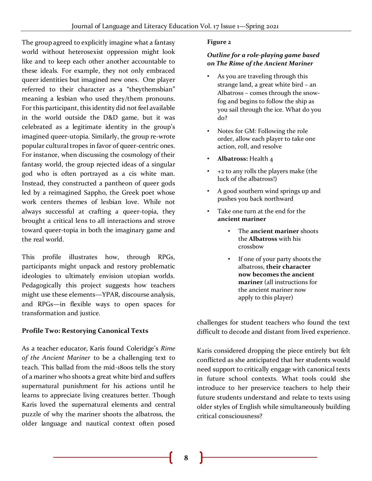The group agreed to explicitly imagine what a fantasy world without heterosexist oppression might look like and to keep each other another accountable to these ideals. For example, they not only embraced queer identities but imagined new ones. One player referred to their character as a "theythemsbian" meaning a lesbian who used they/them pronouns. For this participant, this identity did not feel available in the world outside the D&D game, but it was celebrated as a legitimate identity in the group's imagined queer-utopia. Similarly, the group re-wrote popular cultural tropes in favor of queer-centric ones. For instance, when discussing the cosmology of their fantasy world, the group rejected ideas of a singular god who is often portrayed as a cis white man. Instead, they constructed a pantheon of queer gods led by a reimagined Sappho, the Greek poet whose work centers themes of lesbian love. While not always successful at crafting a queer-topia, they brought a critical lens to all interactions and strove toward queer-topia in both the imaginary game and the real world.

This profile illustrates how, through RPGs, participants might unpack and restory problematic ideologies to ultimately envision utopian worlds. Pedagogically this project suggests how teachers might use these elements—YPAR, discourse analysis, and RPGs—in flexible ways to open spaces for transformation and justice.

## **Profile Two: Restorying Canonical Texts**

As a teacher educator, Karis found Coleridge's *Rime of the Ancient Mariner* to be a challenging text to teach. This ballad from the mid-1800s tells the story of a mariner who shoots a great white bird and suffers supernatural punishment for his actions until he learns to appreciate living creatures better. Though Karis loved the supernatural elements and central puzzle of why the mariner shoots the albatross, the older language and nautical context often posed

#### **Figure 2**

## *Outline for a role-playing game based on The Rime of the Ancient Mariner*

- As you are traveling through this strange land, a great white bird – an Albatross – comes through the snowfog and begins to follow the ship as you sail through the ice. What do you do?
- Notes for GM: Following the role order, allow each player to take one action, roll, and resolve
- **Albatross:** Health 4
- +2 to any rolls the players make (the luck of the albatross!)
- A good southern wind springs up and pushes you back northward
- Take one turn at the end for the **ancient mariner**
	- The **ancient mariner** shoots the **Albatross** with his crossbow
	- If one of your party shoots the albatross, **their character now becomes the ancient mariner** (all instructions for the ancient mariner now apply to this player)

challenges for student teachers who found the text difficult to decode and distant from lived experience.

Karis considered dropping the piece entirely but felt conflicted as she anticipated that her students would need support to critically engage with canonical texts in future school contexts*.* What tools could she introduce to her preservice teachers to help their future students understand and relate to texts using older styles of English while simultaneously building critical consciousness?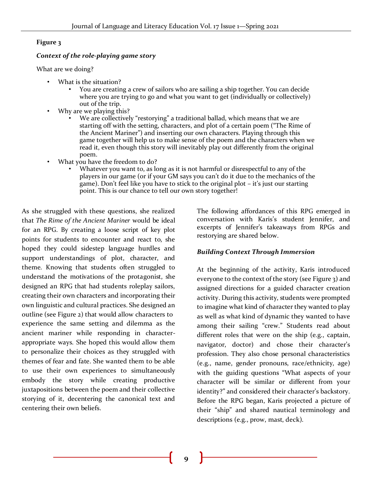#### **Figure 3**

#### *Context of the role-playing game story*

What are we doing?

- • What is the situation?
	- • You are creating a crew of sailors who are sailing a ship together. You can decide where you are trying to go and what you want to get (individually or collectively) out of the trip.
- • Why are we playing this?
	- •We are collectively "restorying" a traditional ballad, which means that we are starting off with the setting, characters, and plot of a certain poem ("The Rime of the Ancient Mariner") and inserting our own characters. Playing through this game together will help us to make sense of the poem and the characters when we read it, even though this story will inevitably play out differently from the original poem.
- • What you have the freedom to do?
	- • Whatever you want to, as long as it is not harmful or disrespectful to any of the <sup>p</sup>layers in our game (or if your GM says you can't do it due to the mechanics of the game). Don't feel like you have to stick to the original plot – it's just our starting point. This is our chance to tell our own story together!

As she struggled with these questions, she realized that *The Rime of the Ancient Mariner* would be ideal for an RPG. By creating a loose script of key plot points for students to encounter and react to, she hoped they could sidestep language hurdles and support understandings of plot, character, and theme. Knowing that students often struggled to understand the motivations of the protagonist, she designed an RPG that had students roleplay sailors, creating their own characters and incorporating their own linguistic and cultural practices. She designed an outline (see Figure 2) that would allow characters to experience the same setting and dilemma as the ancient mariner while responding in characterappropriate ways. She hoped this would allow them to personalize their choices as they struggled with themes of fear and fate. She wanted them to be able to use their own experiences to simultaneously embody the story while creating productive juxtapositions between the poem and their collective storying of it, decentering the canonical text and centering their own beliefs.

The following affordances of this RPG emerged in conversation with Karis's student Jennifer, and excerpts of Jennifer's takeaways from RPGs and restorying are shared below.

#### *Building Context Through Immersion*

At the beginning of the activity, Karis introduced everyone to the context of the story (see Figure 3) and assigned directions for a guided character creation activity. During this activity, students were prompted to imagine what kind of character they wanted to play as well as what kind of dynamic they wanted to have among their sailing "crew." Students read about different roles that were on the ship (e.g., captain, navigator, doctor) and chose their character's profession. They also chose personal characteristics (e.g., name, gender pronouns, race/ethnicity, age) with the guiding questions "What aspects of your character will be similar or different from your identity?" and considered their character's backstory. Before the RPG began, Karis projected a picture of their "ship" and shared nautical terminology and descriptions (e.g., prow, mast, deck).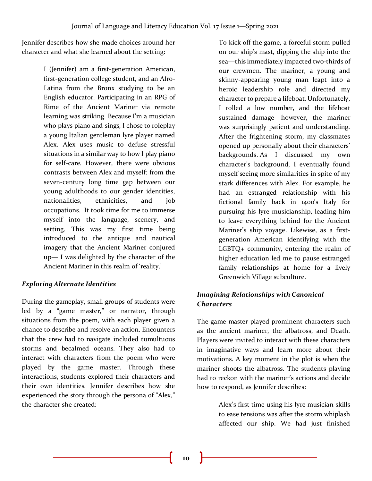Jennifer describes how she made choices around her character and what she learned about the setting:

> I (Jennifer) am a first-generation American, first-generation college student, and an Afro-Latina from the Bronx studying to be an English educator. Participating in an RPG of Rime of the Ancient Mariner via remote learning was striking. Because I'm a musician who plays piano and sings, I chose to roleplay a young Italian gentleman lyre player named Alex. Alex uses music to defuse stressful situations in a similar way to how I play piano for self-care. However, there were obvious contrasts between Alex and myself: from the seven-century long time gap between our young adulthoods to our gender identities, nationalities, ethnicities, and job occupations. It took time for me to immerse myself into the language, scenery, and setting. This was my first time being introduced to the antique and nautical imagery that the Ancient Mariner conjured up— I was delighted by the character of the Ancient Mariner in this realm of 'reality.'

## *Exploring Alternate Identities*

During the gameplay, small groups of students were led by a "game master," or narrator, through situations from the poem, with each player given a chance to describe and resolve an action. Encounters that the crew had to navigate included tumultuous storms and becalmed oceans. They also had to interact with characters from the poem who were played by the game master. Through these interactions, students explored their characters and their own identities. Jennifer describes how she experienced the story through the persona of "Alex," the character she created:

To kick off the game, a forceful storm pulled on our ship's mast, dipping the ship into the sea—this immediately impacted two-thirds of our crewmen. The mariner, a young and skinny-appearing young man leapt into a heroic leadership role and directed my character to prepare a lifeboat. Unfortunately, I rolled a low number, and the lifeboat sustained damage—however, the mariner was surprisingly patient and understanding. After the frightening storm, my classmates opened up personally about their characters' backgrounds. As I discussed my own character's background, I eventually found myself seeing more similarities in spite of my stark differences with Alex. For example, he had an estranged relationship with his fictional family back in 1400's Italy for pursuing his lyre musicianship, leading him to leave everything behind for the Ancient Mariner's ship voyage. Likewise, as a firstgeneration American identifying with the LGBTQ+ community, entering the realm of higher education led me to pause estranged family relationships at home for a lively Greenwich Village subculture.

## *Imagining Relationships with Canonical Characters*

The game master played prominent characters such as the ancient mariner, the albatross, and Death. Players were invited to interact with these characters in imaginative ways and learn more about their motivations. A key moment in the plot is when the mariner shoots the albatross. The students playing had to reckon with the mariner's actions and decide how to respond, as Jennifer describes:

> Alex's first time using his lyre musician skills to ease tensions was after the storm whiplash affected our ship. We had just finished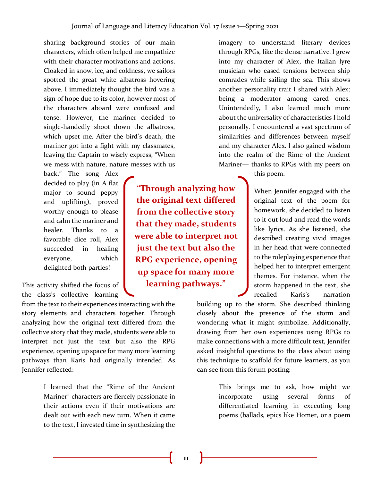sharing background stories of our main characters, which often helped me empathize with their character motivations and actions. Cloaked in snow, ice, and coldness, we sailors spotted the great white albatross hovering above. I immediately thought the bird was a sign of hope due to its color, however most of the characters aboard were confused and tense. However, the mariner decided to single-handedly shoot down the albatross, which upset me. After the bird's death, the mariner got into a fight with my classmates, leaving the Captain to wisely express, "When we mess with nature, nature messes with us

back." The song Alex decided to play (in A flat major to sound peppy and uplifting), proved worthy enough to please and calm the mariner and healer. Thanks to a favorable dice roll, Alex succeeded in healing everyone, which delighted both parties!

This activity shifted the focus of the class's collective learning

from the text to their experiences interacting with the story elements and characters together. Through analyzing how the original text differed from the collective story that they made, students were able to interpret not just the text but also the RPG experience, opening up space for many more learning pathways than Karis had originally intended. As Jennifer reflected:

> I learned that the "Rime of the Ancient Mariner" characters are fiercely passionate in their actions even if their motivations are dealt out with each new turn. When it came to the text, I invested time in synthesizing the

**"Through analyzing how the original text differed from the collective story that they made, students were able to interpret not just the text but also the RPG experience, opening up space for many more learning pathways."**

imagery to understand literary devices through RPGs, like the dense narrative. I grew into my character of Alex, the Italian lyre musician who eased tensions between ship comrades while sailing the sea. This shows another personality trait I shared with Alex: being a moderator among cared ones. Unintendedly, I also learned much more about the universality of characteristics I hold personally. I encountered a vast spectrum of similarities and differences between myself and my character Alex. I also gained wisdom into the realm of the Rime of the Ancient Mariner— thanks to RPGs with my peers on

this poem.

When Jennifer engaged with the original text of the poem for homework, she decided to listen to it out loud and read the words like lyrics. As she listened, she described creating vivid images in her head that were connected to the roleplaying experience that helped her to interpret emergent themes. For instance, when the storm happened in the text, she recalled Karis's narration

building up to the storm. She described thinking closely about the presence of the storm and wondering what it might symbolize. Additionally, drawing from her own experiences using RPGs to make connections with a more difficult text, Jennifer asked insightful questions to the class about using this technique to scaffold for future learners, as you can see from this forum posting:

> This brings me to ask, how might we incorporate using several forms of differentiated learning in executing long poems (ballads, epics like Homer, or a poem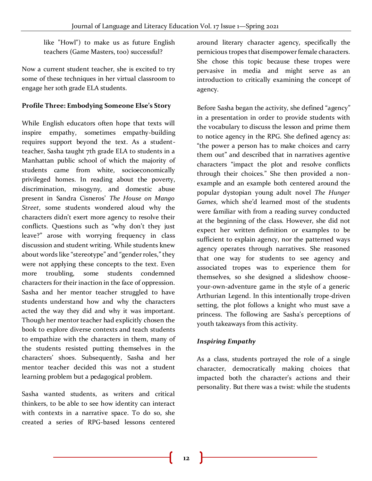like "Howl") to make us as future English teachers (Game Masters, too) successful?

Now a current student teacher, she is excited to try some of these techniques in her virtual classroom to engage her 10th grade ELA students.

## **Profile Three: Embodying Someone Else's Story**

While English educators often hope that texts will inspire empathy, sometimes empathy-building requires support beyond the text. As a studentteacher, Sasha taught 7th grade ELA to students in a Manhattan public school of which the majority of students came from white, socioeconomically privileged homes. In reading about the poverty, discrimination, misogyny, and domestic abuse present in Sandra Cisneros' *The House on Mango Street*, some students wondered aloud why the characters didn't exert more agency to resolve their conflicts. Questions such as "why don't they just leave?" arose with worrying frequency in class discussion and student writing. While students knew about words like "stereotype" and "gender roles," they were not applying these concepts to the text. Even more troubling, some students condemned characters for their inaction in the face of oppression. Sasha and her mentor teacher struggled to have students understand how and why the characters acted the way they did and why it was important. Though her mentor teacher had explicitly chosen the book to explore diverse contexts and teach students to empathize with the characters in them, many of the students resisted putting themselves in the characters' shoes. Subsequently, Sasha and her mentor teacher decided this was not a student learning problem but a pedagogical problem.

Sasha wanted students, as writers and critical thinkers, to be able to see how identity can interact with contexts in a narrative space. To do so, she created a series of RPG-based lessons centered around literary character agency, specifically the pernicious tropes that disempower female characters. She chose this topic because these tropes were pervasive in media and might serve as an introduction to critically examining the concept of agency.

Before Sasha began the activity, she defined "agency" in a presentation in order to provide students with the vocabulary to discuss the lesson and prime them to notice agency in the RPG. She defined agency as: "the power a person has to make choices and carry them out" and described that in narratives agentive characters "impact the plot and resolve conflicts through their choices." She then provided a nonexample and an example both centered around the popular dystopian young adult novel *The Hunger Games*, which she'd learned most of the students were familiar with from a reading survey conducted at the beginning of the class. However, she did not expect her written definition or examples to be sufficient to explain agency, nor the patterned ways agency operates through narratives. She reasoned that one way for students to see agency and associated tropes was to experience them for themselves, so she designed a slideshow chooseyour-own-adventure game in the style of a generic Arthurian Legend. In this intentionally trope-driven setting, the plot follows a knight who must save a princess. The following are Sasha's perceptions of youth takeaways from this activity.

## *Inspiring Empathy*

As a class, students portrayed the role of a single character, democratically making choices that impacted both the character's actions and their personality. But there was a twist: while the students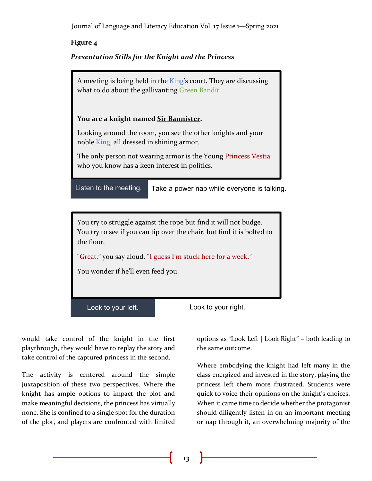## **Figure 4**

## *Presentation Stills for the Knight and the Princess*

A meeting is being held in the King's court. They are discussing what to do about the gallivanting Green Bandit. **You are a knight named Sir Bannister.** Looking around the room, you see the other knights and your noble King, all dressed in shining armor. The only person not wearing armor is the Young Princess Vestia who you know has a keen interest in politics. Listen to the meeting. Take a power nap while everyone is talking. You try to struggle against the rope but find it will not budge. You try to see if you can tip over the chair, but find it is bolted to the floor.

"Great," you say aloud. "I guess I'm stuck here for a week."

You wonder if he'll even feed you.

would take control of the knight in the first playthrough, they would have to replay the story and take control of the captured princess in the second.

The activity is centered around the simple juxtaposition of these two perspectives. Where the knight has ample options to impact the plot and make meaningful decisions, the princess has virtually none. She is confined to a single spot for the duration of the plot, and players are confronted with limited

Look to your left. Look to your right.

options as "Look Left | Look Right" – both leading to the same outcome.

Where embodying the knight had left many in the class energized and invested in the story, playing the princess left them more frustrated. Students were quick to voice their opinions on the knight's choices. When it came time to decide whether the protagonist should diligently listen in on an important meeting or nap through it, an overwhelming majority of the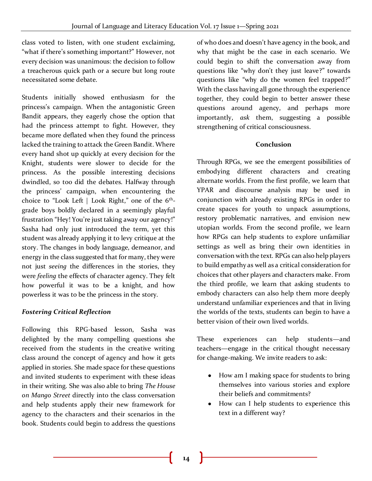class voted to listen, with one student exclaiming, "what if there's something important?" However, not every decision was unanimous: the decision to follow a treacherous quick path or a secure but long route necessitated some debate.

Students initially showed enthusiasm for the princess's campaign. When the antagonistic Green Bandit appears, they eagerly chose the option that had the princess attempt to fight. However, they became more deflated when they found the princess lacked the training to attack the Green Bandit. Where every hand shot up quickly at every decision for the Knight, students were slower to decide for the princess. As the possible interesting decisions dwindled, so too did the debates. Halfway through the princess' campaign, when encountering the choice to "Look Left | Look Right," one of the 6<sup>th</sup>grade boys boldly declared in a seemingly playful frustration "Hey! You're just taking away our agency!" Sasha had only just introduced the term, yet this student was already applying it to levy critique at the story. The changes in body language, demeanor, and energy in the class suggested that for many, they were not just *seeing* the differences in the stories, they were *feeling* the effects of character agency. They felt how powerful it was to be a knight, and how powerless it was to be the princess in the story.

## *Fostering Critical Reflection*

Following this RPG-based lesson, Sasha was delighted by the many compelling questions she received from the students in the creative writing class around the concept of agency and how it gets applied in stories. She made space for these questions and invited students to experiment with these ideas in their writing. She was also able to bring *The House on Mango Street* directly into the class conversation and help students apply their new framework for agency to the characters and their scenarios in the book. Students could begin to address the questions

of who does and doesn't have agency in the book, and why that might be the case in each scenario. We could begin to shift the conversation away from questions like "why don't they just leave?" towards questions like "why do the women feel trapped?" With the class having all gone through the experience together, they could begin to better answer these questions around agency, and perhaps more importantly, *ask* them, suggesting a possible strengthening of critical consciousness.

### **Conclusion**

Through RPGs, we see the emergent possibilities of embodying different characters and creating alternate worlds. From the first profile, we learn that YPAR and discourse analysis may be used in conjunction with already existing RPGs in order to create spaces for youth to unpack assumptions, restory problematic narratives, and envision new utopian worlds. From the second profile, we learn how RPGs can help students to explore unfamiliar settings as well as bring their own identities in conversation with the text. RPGs can also help players to build empathy as well as a critical consideration for choices that other players and characters make. From the third profile, we learn that asking students to embody characters can also help them more deeply understand unfamiliar experiences and that in living the worlds of the texts, students can begin to have a better vision of their own lived worlds.

These experiences can help students—and teachers—engage in the critical thought necessary for change-making. We invite readers to ask:

- How am I making space for students to bring themselves into various stories and explore their beliefs and commitments?
- How can I help students to experience this text in a different way?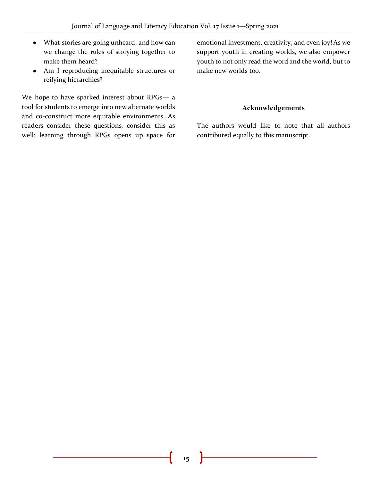- What stories are going unheard, and how can we change the rules of storying together to make them heard?
- Am I reproducing inequitable structures or reifying hierarchies?

We hope to have sparked interest about RPGs— a tool for students to emerge into new alternate worlds and co-construct more equitable environments. As readers consider these questions, consider this as well: learning through RPGs opens up space for emotional investment, creativity, and even joy! As we support youth in creating worlds, we also empower youth to not only read the word and the world, but to make new worlds too.

#### **Acknowledgements**

The authors would like to note that all authors contributed equally to this manuscript.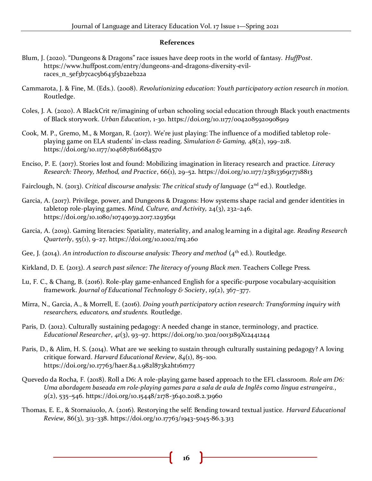#### **References**

- Blum, J. (2020). "Dungeons & Dragons" race issues have deep roots in the world of fantasy. *HuffPost*. https://www.huffpost.com/entry/dungeons-and-dragons-diversity-evilraces\_n\_5ef3b7cac5b643f5b22eb22a
- Cammarota, J. & Fine, M. (Eds.). (2008). *Revolutionizing education: Youth participatory action research in motion.*  Routledge.
- Coles, J. A. (2020). A BlackCrit re/imagining of urban schooling social education through Black youth enactments of Black storywork. *Urban Education*, 1-30. https://doi.org/10.1177/0042085920908919
- Cook, M. P., Gremo, M., & Morgan, R. (2017). We're just playing: The influence of a modified tabletop roleplaying game on ELA students' in-class reading. *Simulation & Gaming,* 48(2), 199–218. https://doi.org/10.1177/1046878116684570
- Enciso, P. E. (2017). Stories lost and found: Mobilizing imagination in literacy research and practice. *Literacy Research: Theory, Method, and Practice*, 66(1), 29–52. https://doi.org/10.1177/2381336917718813
- Fairclough, N. (2013). *Critical discourse analysis: The critical study of language* (2<sup>nd</sup> ed.). Routledge.
- Garcia, A. (2017). Privilege, power, and Dungeons & Dragons: How systems shape racial and gender identities in tabletop role-playing games. *Mind, Culture, and Activity,* 24(3), 232–246. https://doi.org/10.1080/10749039.2017.1293691
- Garcia, A. (2019). Gaming literacies: Spatiality, materiality, and analog learning in a digital age. *Reading Research Quarterly*, 55(1), 9–27. https://doi.org/10.1002/rrq.260
- Gee, J. (2014). *An introduction to discourse analysis: Theory and method* (4<sup>th</sup> ed.). Routledge.
- Kirkland, D. E. (2013). *A search past silence: The literacy of young Black men*. Teachers College Press.
- Lu, F. C., & Chang, B. (2016). Role-play game-enhanced English for a specific-purpose vocabulary-acquisition framework. *Journal of Educational Technology & Society*, *19*(2), 367–377.
- Mirra, N., Garcia, A., & Morrell, E. (2016). *Doing youth participatory action research: Transforming inquiry with researchers, educators, and students.* Routledge.
- Paris, D. (2012). Culturally sustaining pedagogy: A needed change in stance, terminology, and practice. *Educational Researcher*, *41*(3), 93–97. https://doi.org/10.3102/0013189X12441244
- Paris, D., & Alim, H. S. (2014). What are we seeking to sustain through culturally sustaining pedagogy? A loving critique forward. *Harvard Educational Review*, *84*(1), 85–100. https://doi.org/10.17763/haer.84.1.982l873k2ht16m77
- Quevedo da Rocha, F. (2018). Roll a D6: A role-playing game based approach to the EFL classroom. *Role am D6: Uma abordagem baseada em role-playing games para a sala de aula de Inglês como língua estrangeira.*, *9*(2), 535–546. https://doi.org/10.15448/2178-3640.2018.2.31960
- Thomas, E. E., & Stornaiuolo, A. (2016). Restorying the self: Bending toward textual justice. *Harvard Educational Review*, 86(3), 313–338. https://doi.org/10.17763/1943-5045-86.3.313